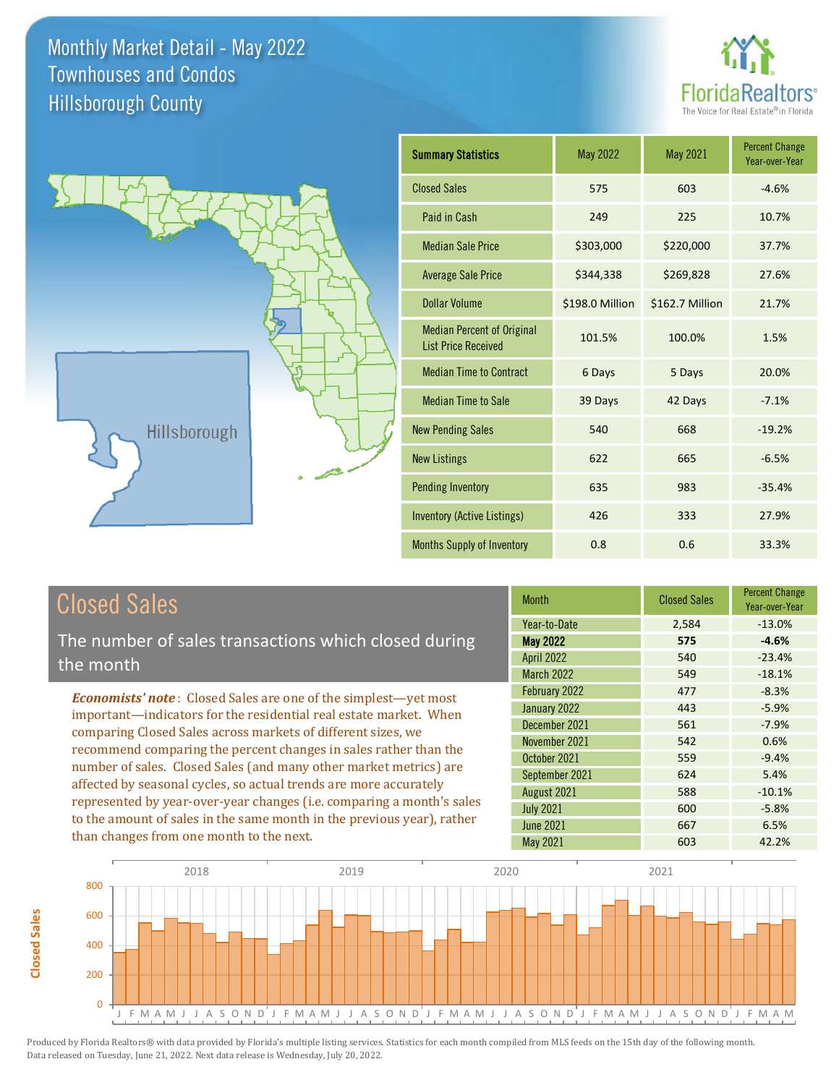



### Closed Sales

**Closed Sales**

**Closed Sales** 

The number of sales transactions which closed during the month

*Economists' note* : Closed Sales are one of the simplest—yet most important—indicators for the residential real estate market. When comparing Closed Sales across markets of different sizes, we recommend comparing the percent changes in sales rather than the number of sales. Closed Sales (and many other market metrics) are affected by seasonal cycles, so actual trends are more accurately represented by year-over-year changes (i.e. comparing a month's sales to the amount of sales in the same month in the previous year), rather than changes from one month to the next.

| <b>Month</b>      | <b>Closed Sales</b> | <b>Percent Change</b><br>Year-over-Year |
|-------------------|---------------------|-----------------------------------------|
| Year-to-Date      | 2,584               | $-13.0%$                                |
| <b>May 2022</b>   | 575                 | $-4.6%$                                 |
| <b>April 2022</b> | 540                 | $-23.4%$                                |
| <b>March 2022</b> | 549                 | $-18.1%$                                |
| February 2022     | 477                 | $-8.3%$                                 |
| January 2022      | 443                 | $-5.9%$                                 |
| December 2021     | 561                 | $-7.9%$                                 |
| November 2021     | 542                 | 0.6%                                    |
| October 2021      | 559                 | $-9.4%$                                 |
| September 2021    | 624                 | 5.4%                                    |
| August 2021       | 588                 | $-10.1%$                                |
| <b>July 2021</b>  | 600                 | $-5.8%$                                 |
| <b>June 2021</b>  | 667                 | 6.5%                                    |
| May 2021          | 603                 | 42.2%                                   |

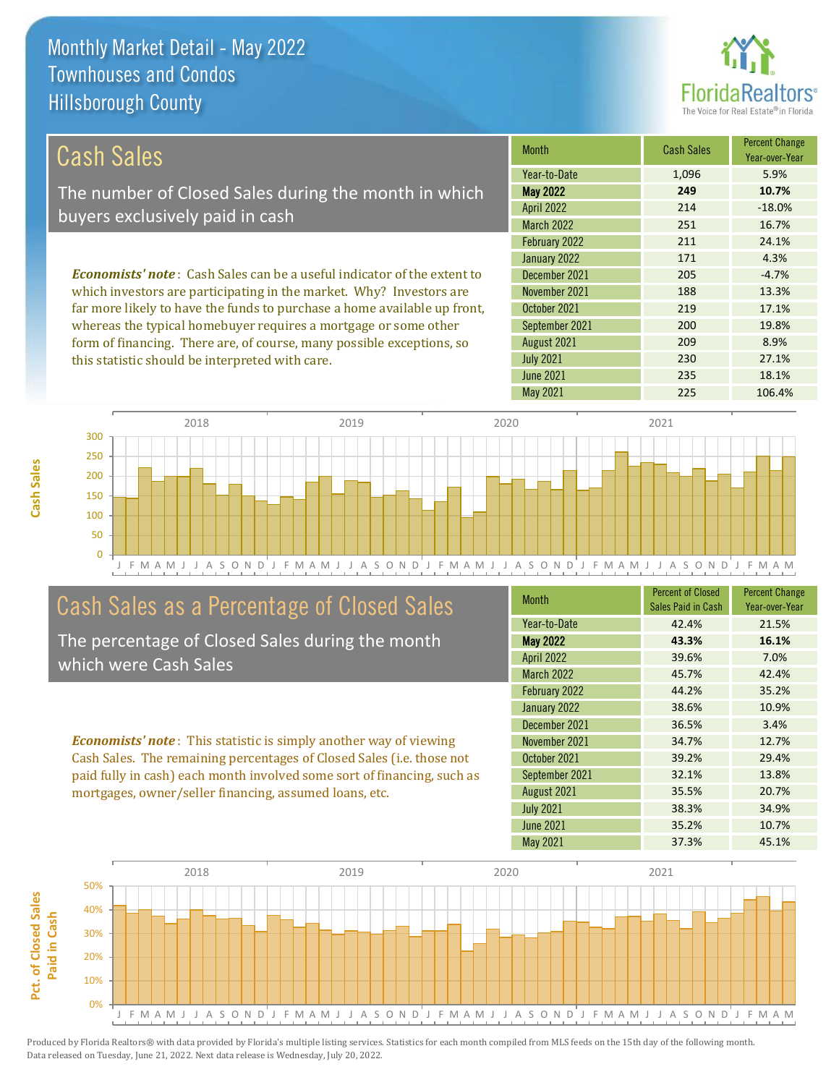

209 8.9%

230 27.1%

| Cash Sales                                                                     | <b>Month</b>      | <b>Cash Sales</b> | <b>Percent Change</b><br>Year-over-Year |
|--------------------------------------------------------------------------------|-------------------|-------------------|-----------------------------------------|
|                                                                                | Year-to-Date      | 1,096             | 5.9%                                    |
| The number of Closed Sales during the month in which                           | <b>May 2022</b>   | 249               | 10.7%                                   |
| buyers exclusively paid in cash                                                | <b>April 2022</b> | 214               | $-18.0%$                                |
|                                                                                | March 2022        | 251               | 16.7%                                   |
|                                                                                | February 2022     | 211               | 24.1%                                   |
|                                                                                | January 2022      | 171               | 4.3%                                    |
| <b>Economists' note:</b> Cash Sales can be a useful indicator of the extent to | December 2021     | 205               | $-4.7%$                                 |
| which investors are participating in the market. Why? Investors are            | November 2021     | 188               | 13.3%                                   |
| far more likely to have the funds to purchase a home available up front,       | October 2021      | 219               | 17.1%                                   |
| whereas the typical homebuyer requires a mortgage or some other                | September 2021    | 200               | 19.8%                                   |

J F M A M J J A S O N D J F M A M J J A S O N D J F M A M J J A S O N D J F M A M J J A S O N D J F M A M 0 50 100 150 200 250 300 2018 2019 2020 2021

# Cash Sales as a Percentage of Closed Sales

form of financing. There are, of course, many possible exceptions, so

this statistic should be interpreted with care.

The percentage of Closed Sales during the month which were Cash Sales

*Economists' note* : This statistic is simply another way of viewing Cash Sales. The remaining percentages of Closed Sales (i.e. those not paid fully in cash) each month involved some sort of financing, such as mortgages, owner/seller financing, assumed loans, etc.

| <b>Month</b>      | <b>Percent of Closed</b><br>Sales Paid in Cash | <b>Percent Change</b><br>Year-over-Year |
|-------------------|------------------------------------------------|-----------------------------------------|
| Year-to-Date      | 42.4%                                          | 21.5%                                   |
| <b>May 2022</b>   | 43.3%                                          | 16.1%                                   |
| <b>April 2022</b> | 39.6%                                          | 7.0%                                    |
| <b>March 2022</b> | 45.7%                                          | 42.4%                                   |
| February 2022     | 44.2%                                          | 35.2%                                   |
| January 2022      | 38.6%                                          | 10.9%                                   |
| December 2021     | 36.5%                                          | 3.4%                                    |
| November 2021     | 34.7%                                          | 12.7%                                   |
| October 2021      | 39.2%                                          | 29.4%                                   |
| September 2021    | 32.1%                                          | 13.8%                                   |
| August 2021       | 35.5%                                          | 20.7%                                   |
| <b>July 2021</b>  | 38.3%                                          | 34.9%                                   |
| June 2021         | 35.2%                                          | 10.7%                                   |
| <b>May 2021</b>   | 37.3%                                          | 45.1%                                   |

May 2021 225 225 106.4%

June 2021 235 235 18.1%

July 2021

August 2021

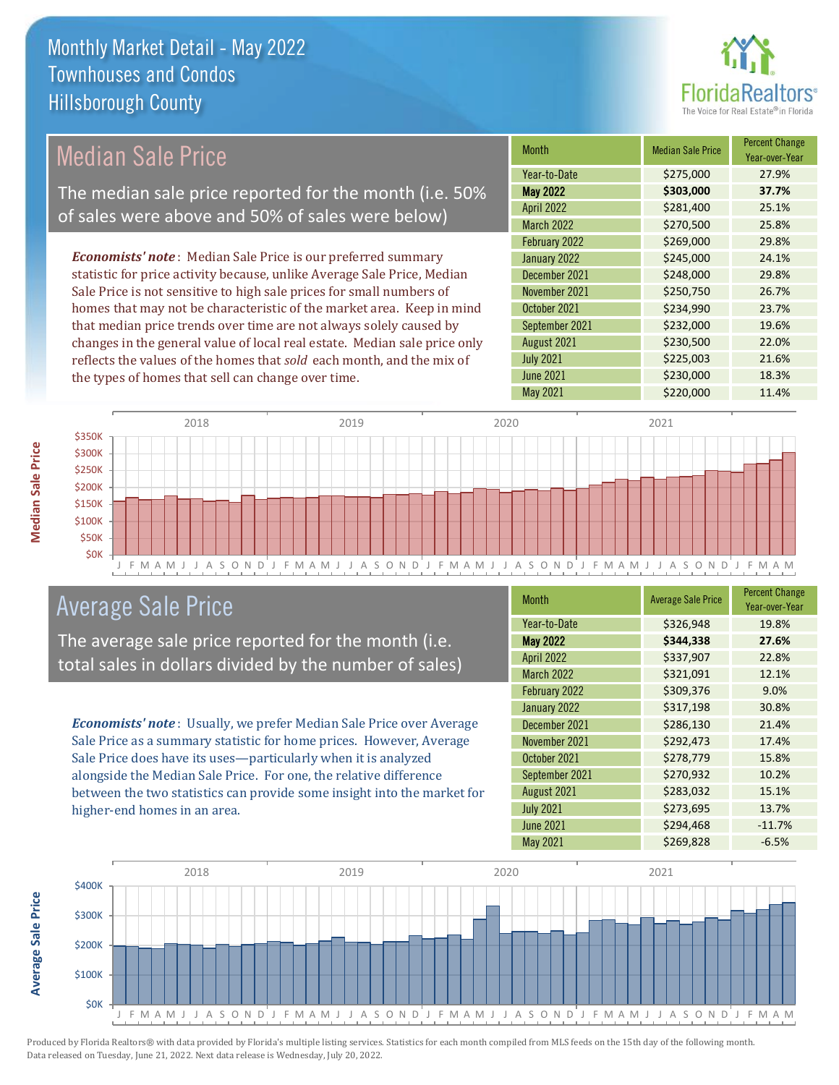

### *Economists' note* : Median Sale Price is our preferred summary statistic for price activity because, unlike Average Sale Price, Median Median Sale Price The median sale price reported for the month (i.e. 50% of sales were above and 50% of sales were below)

Sale Price is not sensitive to high sale prices for small numbers of homes that may not be characteristic of the market area. Keep in mind that median price trends over time are not always solely caused by changes in the general value of local real estate. Median sale price only reflects the values of the homes that *sold* each month, and the mix of the types of homes that sell can change over time.

| <b>Month</b>      | <b>Median Sale Price</b> | <b>Percent Change</b><br>Year-over-Year |
|-------------------|--------------------------|-----------------------------------------|
| Year-to-Date      | \$275,000                | 27.9%                                   |
| <b>May 2022</b>   | \$303,000                | 37.7%                                   |
| <b>April 2022</b> | \$281,400                | 25.1%                                   |
| <b>March 2022</b> | \$270,500                | 25.8%                                   |
| February 2022     | \$269,000                | 29.8%                                   |
| January 2022      | \$245,000                | 24.1%                                   |
| December 2021     | \$248,000                | 29.8%                                   |
| November 2021     | \$250,750                | 26.7%                                   |
| October 2021      | \$234,990                | 23.7%                                   |
| September 2021    | \$232,000                | 19.6%                                   |
| August 2021       | \$230,500                | 22.0%                                   |
| <b>July 2021</b>  | \$225,003                | 21.6%                                   |
| <b>June 2021</b>  | \$230,000                | 18.3%                                   |
| <b>May 2021</b>   | \$220,000                | 11.4%                                   |



### Average Sale Price

The average sale price reported for the month (i.e. total sales in dollars divided by the number of sales)

*Economists' note* : Usually, we prefer Median Sale Price over Average Sale Price as a summary statistic for home prices. However, Average Sale Price does have its uses—particularly when it is analyzed alongside the Median Sale Price. For one, the relative difference between the two statistics can provide some insight into the market for higher-end homes in an area.

| Month             | <b>Average Sale Price</b> | <b>Percent Change</b><br>Year-over-Year |
|-------------------|---------------------------|-----------------------------------------|
| Year-to-Date      | \$326,948                 | 19.8%                                   |
| <b>May 2022</b>   | \$344,338                 | 27.6%                                   |
| <b>April 2022</b> | \$337,907                 | 22.8%                                   |
| <b>March 2022</b> | \$321,091                 | 12.1%                                   |
| February 2022     | \$309,376                 | 9.0%                                    |
| January 2022      | \$317,198                 | 30.8%                                   |
| December 2021     | \$286,130                 | 21.4%                                   |
| November 2021     | \$292,473                 | 17.4%                                   |
| October 2021      | \$278,779                 | 15.8%                                   |
| September 2021    | \$270,932                 | 10.2%                                   |
| August 2021       | \$283,032                 | 15.1%                                   |
| <b>July 2021</b>  | \$273,695                 | 13.7%                                   |
| <b>June 2021</b>  | \$294,468                 | $-11.7%$                                |
| May 2021          | \$269,828                 | $-6.5%$                                 |



Produced by Florida Realtors® with data provided by Florida's multiple listing services. Statistics for each month compiled from MLS feeds on the 15th day of the following month.

Data released on Tuesday, June 21, 2022. Next data release is Wednesday, July 20, 2022.

**Average Sale Price**

Average Sale Price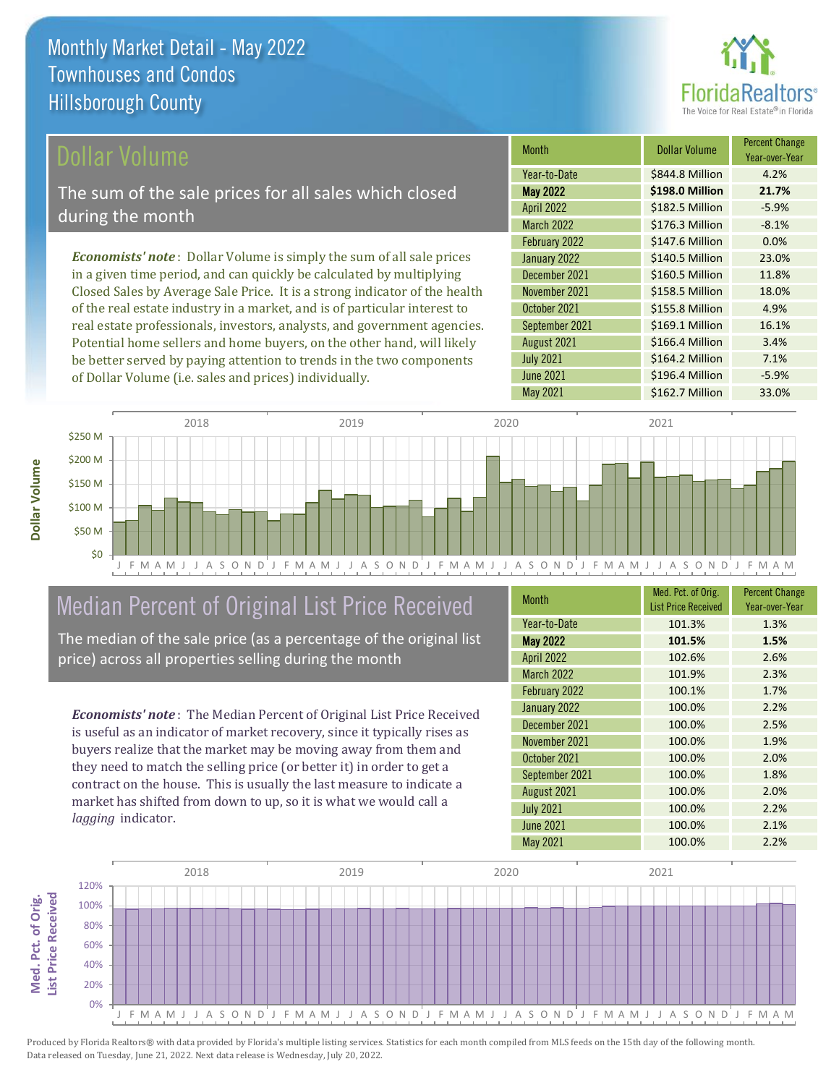

#### ollar Volume

The sum of the sale prices for all sales which closed during the month

*Economists' note* : Dollar Volume is simply the sum of all sale prices in a given time period, and can quickly be calculated by multiplying Closed Sales by Average Sale Price. It is a strong indicator of the health of the real estate industry in a market, and is of particular interest to real estate professionals, investors, analysts, and government agencies. Potential home sellers and home buyers, on the other hand, will likely be better served by paying attention to trends in the two components of Dollar Volume (i.e. sales and prices) individually.

| <b>Month</b>      | Dollar Volume   | <b>Percent Change</b><br>Year-over-Year |
|-------------------|-----------------|-----------------------------------------|
| Year-to-Date      | \$844.8 Million | 4.2%                                    |
| <b>May 2022</b>   | \$198.0 Million | 21.7%                                   |
| <b>April 2022</b> | \$182.5 Million | $-5.9%$                                 |
| <b>March 2022</b> | \$176.3 Million | $-8.1%$                                 |
| February 2022     | \$147.6 Million | 0.0%                                    |
| January 2022      | \$140.5 Million | 23.0%                                   |
| December 2021     | \$160.5 Million | 11.8%                                   |
| November 2021     | \$158.5 Million | 18.0%                                   |
| October 2021      | \$155.8 Million | 4.9%                                    |
| September 2021    | \$169.1 Million | 16.1%                                   |
| August 2021       | \$166.4 Million | 3.4%                                    |
| <b>July 2021</b>  | \$164.2 Million | 7.1%                                    |
| <b>June 2021</b>  | \$196.4 Million | $-5.9%$                                 |
| <b>May 2021</b>   | \$162.7 Million | 33.0%                                   |



# Median Percent of Original List Price Received

The median of the sale price (as a percentage of the original list price) across all properties selling during the month

*Economists' note* : The Median Percent of Original List Price Received is useful as an indicator of market recovery, since it typically rises as buyers realize that the market may be moving away from them and they need to match the selling price (or better it) in order to get a contract on the house. This is usually the last measure to indicate a market has shifted from down to up, so it is what we would call a *lagging* indicator.

| <b>Month</b>      | Med. Pct. of Orig.<br><b>List Price Received</b> | <b>Percent Change</b><br>Year-over-Year |
|-------------------|--------------------------------------------------|-----------------------------------------|
| Year-to-Date      | 101.3%                                           | 1.3%                                    |
| <b>May 2022</b>   | 101.5%                                           | 1.5%                                    |
| <b>April 2022</b> | 102.6%                                           | 2.6%                                    |
| <b>March 2022</b> | 101.9%                                           | 2.3%                                    |
| February 2022     | 100.1%                                           | 1.7%                                    |
| January 2022      | 100.0%                                           | 2.2%                                    |
| December 2021     | 100.0%                                           | 2.5%                                    |
| November 2021     | 100.0%                                           | 1.9%                                    |
| October 2021      | 100.0%                                           | 2.0%                                    |
| September 2021    | 100.0%                                           | 1.8%                                    |
| August 2021       | 100.0%                                           | 2.0%                                    |
| <b>July 2021</b>  | 100.0%                                           | 2.2%                                    |
| <b>June 2021</b>  | 100.0%                                           | 2.1%                                    |
| <b>May 2021</b>   | 100.0%                                           | 2.2%                                    |

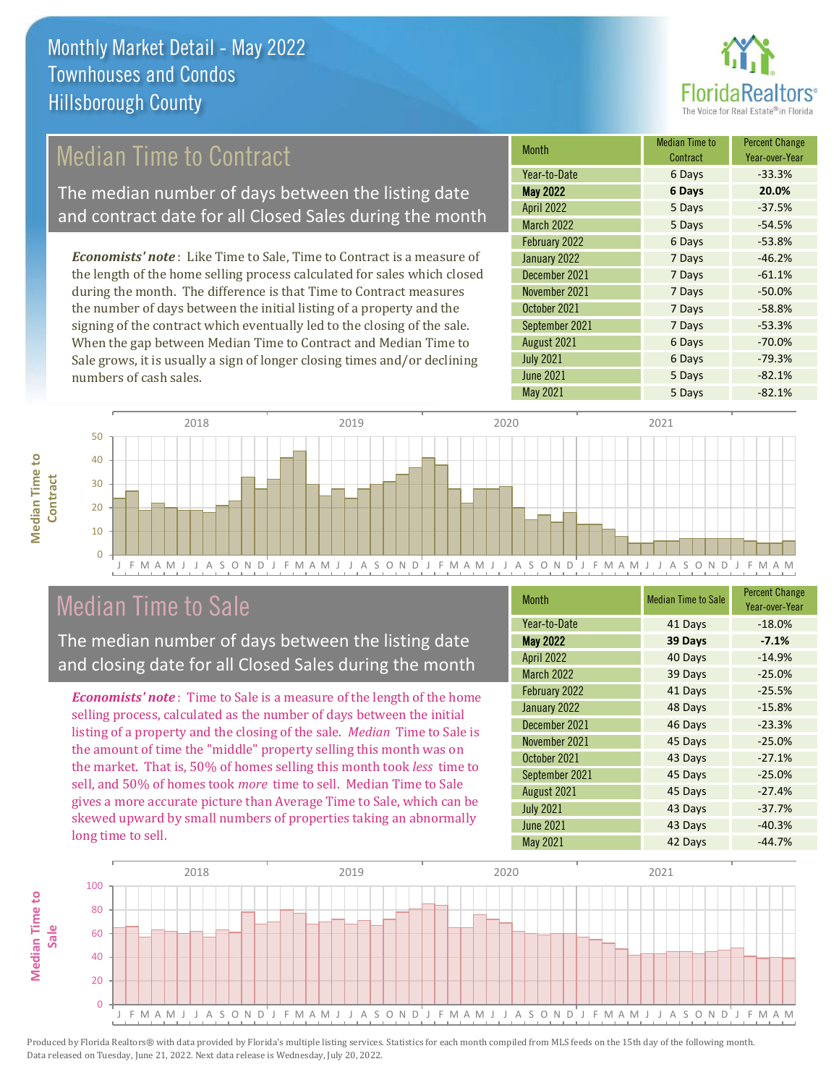

### Median Time to Contract

The median number of days between the listing date and contract date for all Closed Sales during the month

*Economists' note* : Like Time to Sale, Time to Contract is a measure of the length of the home selling process calculated for sales which closed during the month. The difference is that Time to Contract measures the number of days between the initial listing of a property and the signing of the contract which eventually led to the closing of the sale. When the gap between Median Time to Contract and Median Time to Sale grows, it is usually a sign of longer closing times and/or declining numbers of cash sales.

| Month             | Median Time to<br>Contract | <b>Percent Change</b><br>Year-over-Year |
|-------------------|----------------------------|-----------------------------------------|
| Year-to-Date      | 6 Days                     | $-33.3%$                                |
| <b>May 2022</b>   | <b>6 Days</b>              | 20.0%                                   |
| <b>April 2022</b> | 5 Days                     | $-37.5%$                                |
| March 2022        | 5 Days                     | $-54.5%$                                |
| February 2022     | 6 Days                     | $-53.8%$                                |
| January 2022      | 7 Days                     | $-46.2%$                                |
| December 2021     | 7 Days                     | $-61.1%$                                |
| November 2021     | 7 Days                     | $-50.0%$                                |
| October 2021      | 7 Days                     | $-58.8%$                                |
| September 2021    | 7 Days                     | $-53.3%$                                |
| August 2021       | 6 Days                     | $-70.0%$                                |
| <b>July 2021</b>  | 6 Days                     | $-79.3%$                                |
| <b>June 2021</b>  | 5 Days                     | $-82.1%$                                |
| May 2021          | 5 Days                     | $-82.1%$                                |



### Median Time to Sale

**Median Time to** 

**Median Time to** 

The median number of days between the listing date and closing date for all Closed Sales during the month

*Economists' note* : Time to Sale is a measure of the length of the home selling process, calculated as the number of days between the initial listing of a property and the closing of the sale. *Median* Time to Sale is the amount of time the "middle" property selling this month was on the market. That is, 50% of homes selling this month took *less* time to sell, and 50% of homes took *more* time to sell. Median Time to Sale gives a more accurate picture than Average Time to Sale, which can be skewed upward by small numbers of properties taking an abnormally long time to sell.

| <b>Month</b>      | <b>Median Time to Sale</b> | <b>Percent Change</b><br>Year-over-Year |
|-------------------|----------------------------|-----------------------------------------|
| Year-to-Date      | 41 Days                    | $-18.0%$                                |
| <b>May 2022</b>   | 39 Days                    | $-7.1%$                                 |
| <b>April 2022</b> | 40 Days                    | $-14.9%$                                |
| <b>March 2022</b> | 39 Days                    | $-25.0%$                                |
| February 2022     | 41 Days                    | $-25.5%$                                |
| January 2022      | 48 Days                    | $-15.8%$                                |
| December 2021     | 46 Days                    | $-23.3%$                                |
| November 2021     | 45 Days                    | $-25.0%$                                |
| October 2021      | 43 Days                    | $-27.1%$                                |
| September 2021    | 45 Days                    | $-25.0%$                                |
| August 2021       | 45 Days                    | $-27.4%$                                |
| <b>July 2021</b>  | 43 Days                    | $-37.7%$                                |
| <b>June 2021</b>  | 43 Days                    | $-40.3%$                                |
| May 2021          | 42 Days                    | $-44.7%$                                |

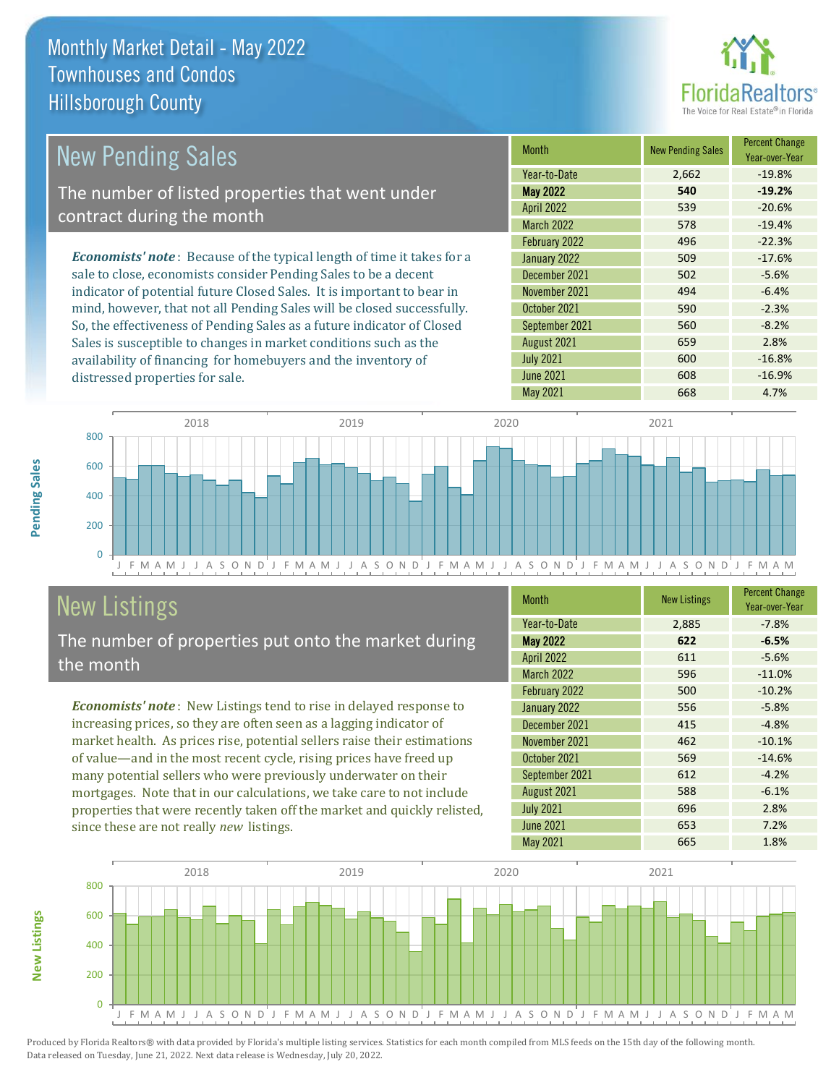distressed properties for sale.



| <b>New Pending Sales</b>                                                       | <b>Month</b>      | <b>New Pending Sales</b> | <b>Percent Change</b><br>Year-over-Year |
|--------------------------------------------------------------------------------|-------------------|--------------------------|-----------------------------------------|
|                                                                                | Year-to-Date      | 2,662                    | $-19.8%$                                |
| The number of listed properties that went under                                | <b>May 2022</b>   | 540                      | $-19.2%$                                |
| contract during the month                                                      | <b>April 2022</b> | 539                      | $-20.6%$                                |
|                                                                                | <b>March 2022</b> | 578                      | $-19.4%$                                |
|                                                                                | February 2022     | 496                      | $-22.3%$                                |
| <b>Economists' note</b> : Because of the typical length of time it takes for a | January 2022      | 509                      | $-17.6%$                                |
| sale to close, economists consider Pending Sales to be a decent                | December 2021     | 502                      | $-5.6%$                                 |
| indicator of potential future Closed Sales. It is important to bear in         | November 2021     | 494                      | $-6.4%$                                 |
| mind, however, that not all Pending Sales will be closed successfully.         | October 2021      | 590                      | $-2.3%$                                 |
| So, the effectiveness of Pending Sales as a future indicator of Closed         | September 2021    | 560                      | $-8.2%$                                 |
| Sales is susceptible to changes in market conditions such as the               | August 2021       | 659                      | 2.8%                                    |



# New Listings

The number of properties put onto the market during the month

availability of financing for homebuyers and the inventory of

*Economists' note* : New Listings tend to rise in delayed response to increasing prices, so they are often seen as a lagging indicator of market health. As prices rise, potential sellers raise their estimations of value—and in the most recent cycle, rising prices have freed up many potential sellers who were previously underwater on their mortgages. Note that in our calculations, we take care to not include properties that were recently taken off the market and quickly relisted, since these are not really *new* listings.

| <b>Month</b>      | <b>New Listings</b> | <b>Percent Change</b><br>Year-over-Year |
|-------------------|---------------------|-----------------------------------------|
| Year-to-Date      | 2,885               | $-7.8%$                                 |
| <b>May 2022</b>   | 622                 | $-6.5%$                                 |
| <b>April 2022</b> | 611                 | $-5.6%$                                 |
| March 2022        | 596                 | $-11.0%$                                |
| February 2022     | 500                 | $-10.2%$                                |
| January 2022      | 556                 | $-5.8%$                                 |
| December 2021     | 415                 | $-4.8%$                                 |
| November 2021     | 462                 | $-10.1%$                                |
| October 2021      | 569                 | $-14.6%$                                |
| September 2021    | 612                 | $-4.2%$                                 |
| August 2021       | 588                 | $-6.1%$                                 |
| <b>July 2021</b>  | 696                 | 2.8%                                    |
| <b>June 2021</b>  | 653                 | 7.2%                                    |
| May 2021          | 665                 | 1.8%                                    |

July 2021 600 -16.8% June 2021 **608** -16.9%



Produced by Florida Realtors® with data provided by Florida's multiple listing services. Statistics for each month compiled from MLS feeds on the 15th day of the following month. Data released on Tuesday, June 21, 2022. Next data release is Wednesday, July 20, 2022.

**New Listings**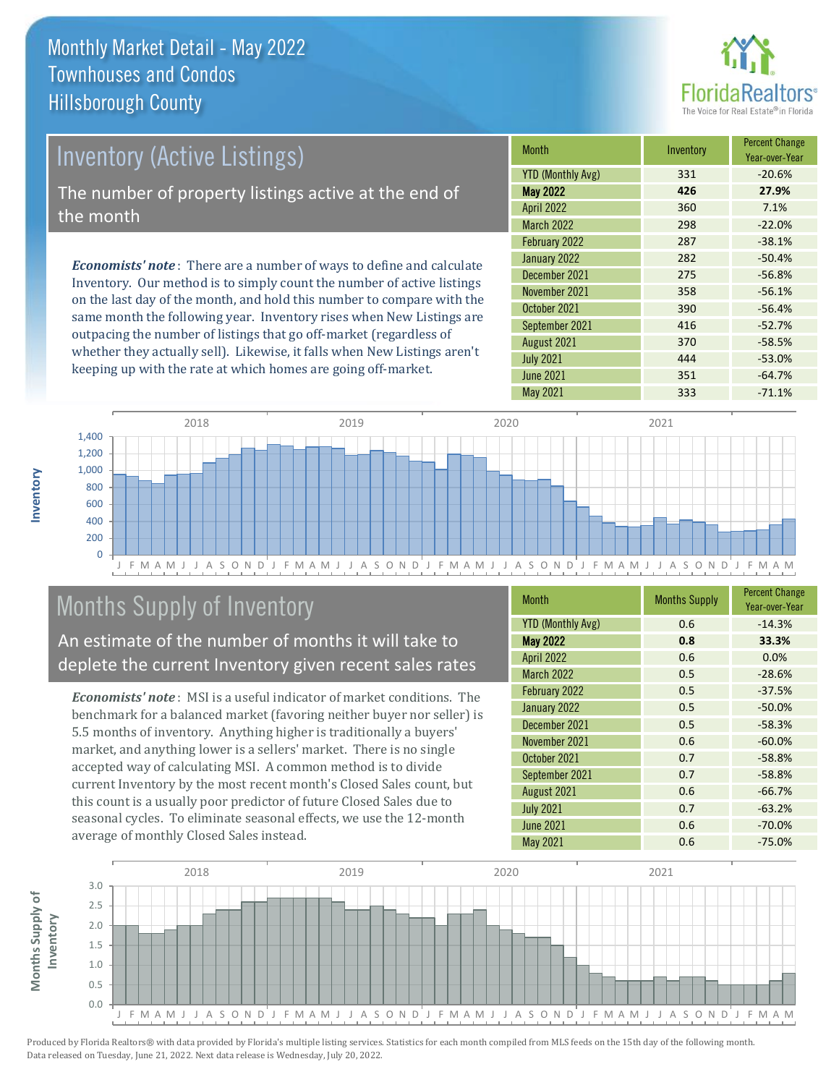

# Inventory (Active Listings)

The number of property listings active at the end of the month

*Economists' note* : There are a number of ways to define and calculate Inventory. Our method is to simply count the number of active listings on the last day of the month, and hold this number to compare with the same month the following year. Inventory rises when New Listings are outpacing the number of listings that go off-market (regardless of whether they actually sell). Likewise, it falls when New Listings aren't keeping up with the rate at which homes are going off-market.

| <b>Month</b>             | Inventory | <b>Percent Change</b><br>Year-over-Year |
|--------------------------|-----------|-----------------------------------------|
| <b>YTD (Monthly Avg)</b> | 331       | $-20.6%$                                |
| <b>May 2022</b>          | 426       | 27.9%                                   |
| <b>April 2022</b>        | 360       | 7.1%                                    |
| <b>March 2022</b>        | 298       | $-22.0%$                                |
| February 2022            | 287       | $-38.1%$                                |
| January 2022             | 282       | $-50.4%$                                |
| December 2021            | 275       | $-56.8%$                                |
| November 2021            | 358       | $-56.1%$                                |
| October 2021             | 390       | $-56.4%$                                |
| September 2021           | 416       | $-52.7%$                                |
| August 2021              | 370       | $-58.5%$                                |
| <b>July 2021</b>         | 444       | $-53.0%$                                |
| <b>June 2021</b>         | 351       | $-64.7%$                                |
| <b>May 2021</b>          | 333       | $-71.1%$                                |



### Months Supply of Inventory

An estimate of the number of months it will take to deplete the current Inventory given recent sales rates

*Economists' note* : MSI is a useful indicator of market conditions. The benchmark for a balanced market (favoring neither buyer nor seller) is 5.5 months of inventory. Anything higher is traditionally a buyers' market, and anything lower is a sellers' market. There is no single accepted way of calculating MSI. A common method is to divide current Inventory by the most recent month's Closed Sales count, but this count is a usually poor predictor of future Closed Sales due to seasonal cycles. To eliminate seasonal effects, we use the 12-month average of monthly Closed Sales instead.

| <b>Month</b>             | <b>Months Supply</b> | <b>Percent Change</b><br>Year-over-Year |
|--------------------------|----------------------|-----------------------------------------|
| <b>YTD (Monthly Avg)</b> | 0.6                  | $-14.3%$                                |
| <b>May 2022</b>          | 0.8                  | 33.3%                                   |
| April 2022               | 0.6                  | 0.0%                                    |
| March 2022               | 0.5                  | $-28.6%$                                |
| February 2022            | 0.5                  | $-37.5%$                                |
| January 2022             | 0.5                  | $-50.0%$                                |
| December 2021            | 0.5                  | $-58.3%$                                |
| November 2021            | 0.6                  | $-60.0%$                                |
| October 2021             | 0.7                  | $-58.8%$                                |
| September 2021           | 0.7                  | $-58.8%$                                |
| August 2021              | 0.6                  | $-66.7%$                                |
| <b>July 2021</b>         | 0.7                  | $-63.2%$                                |
| <b>June 2021</b>         | 0.6                  | $-70.0%$                                |
| May 2021                 | 0.6                  | $-75.0%$                                |

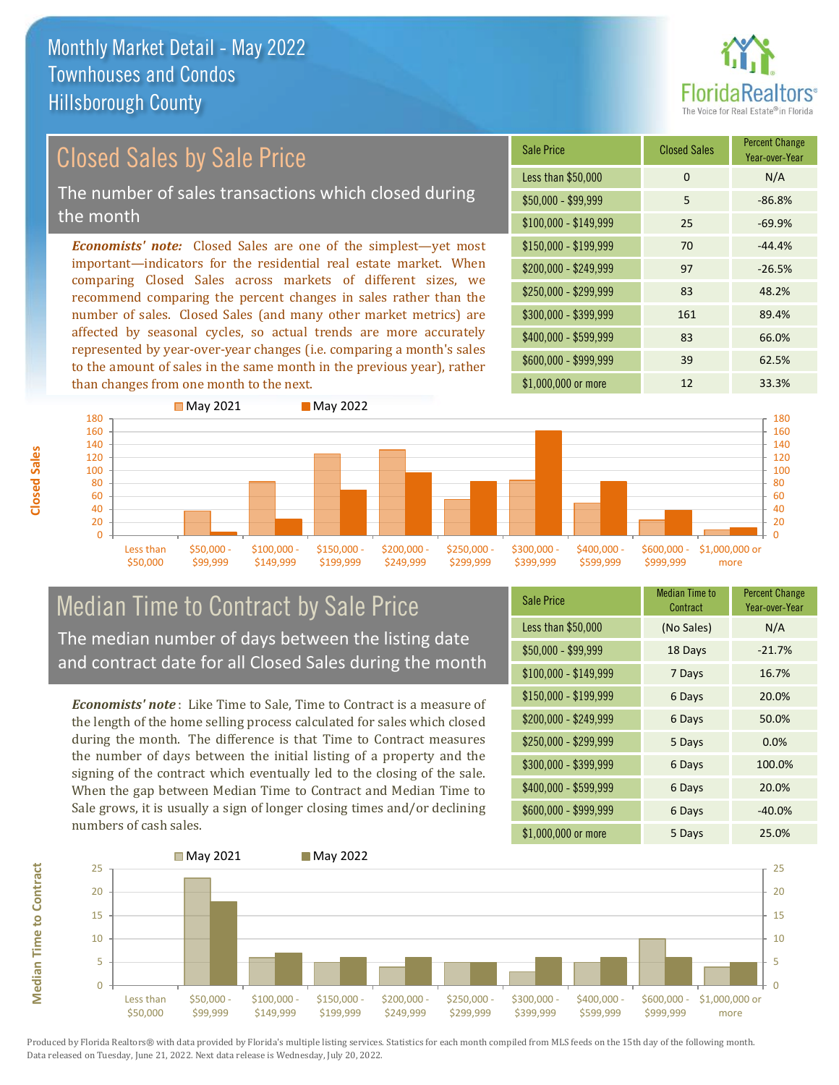

## Closed Sales by Sale Price

The number of sales transactions which closed during the month

*Economists' note:* Closed Sales are one of the simplest—yet most important—indicators for the residential real estate market. When comparing Closed Sales across markets of different sizes, we recommend comparing the percent changes in sales rather than the number of sales. Closed Sales (and many other market metrics) are affected by seasonal cycles, so actual trends are more accurately represented by year-over-year changes (i.e. comparing a month's sales to the amount of sales in the same month in the previous year), rather than changes from one month to the next.





#### Median Time to Contract by Sale Price The median number of days between the listing date and contract date for all Closed Sales during the month

*Economists' note* : Like Time to Sale, Time to Contract is a measure of the length of the home selling process calculated for sales which closed during the month. The difference is that Time to Contract measures the number of days between the initial listing of a property and the signing of the contract which eventually led to the closing of the sale. When the gap between Median Time to Contract and Median Time to Sale grows, it is usually a sign of longer closing times and/or declining numbers of cash sales.

| <b>Sale Price</b>     | Median Time to<br>Contract | <b>Percent Change</b><br>Year-over-Year |
|-----------------------|----------------------------|-----------------------------------------|
| Less than \$50,000    | (No Sales)                 | N/A                                     |
| $$50,000 - $99,999$   | 18 Days                    | $-21.7%$                                |
| $$100,000 - $149,999$ | 7 Days                     | 16.7%                                   |
| $$150,000 - $199,999$ | 6 Days                     | 20.0%                                   |
| \$200,000 - \$249,999 | 6 Days                     | 50.0%                                   |
| \$250,000 - \$299,999 | 5 Days                     | 0.0%                                    |
| \$300,000 - \$399,999 | 6 Days                     | 100.0%                                  |
| \$400,000 - \$599,999 | 6 Days                     | 20.0%                                   |
| \$600,000 - \$999,999 | 6 Days                     | $-40.0%$                                |
| \$1,000,000 or more   | 5 Days                     | 25.0%                                   |



**Closed Sales**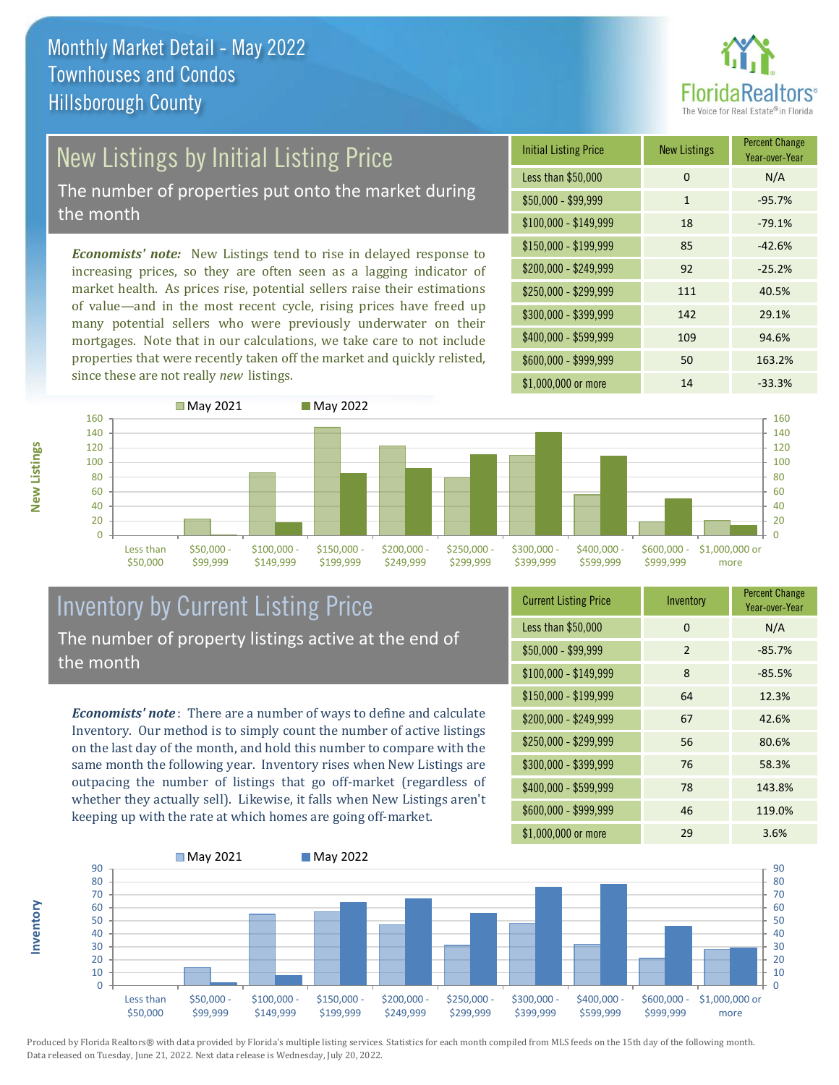

# New Listings by Initial Listing Price

The number of properties put onto the market during the month

*Economists' note:* New Listings tend to rise in delayed response to increasing prices, so they are often seen as a lagging indicator of market health. As prices rise, potential sellers raise their estimations of value—and in the most recent cycle, rising prices have freed up many potential sellers who were previously underwater on their mortgages. Note that in our calculations, we take care to not include properties that were recently taken off the market and quickly relisted, since these are not really *new* listings.

| <b>Initial Listing Price</b> | <b>New Listings</b> | <b>Percent Change</b><br>Year-over-Year |
|------------------------------|---------------------|-----------------------------------------|
| Less than \$50,000           | $\Omega$            | N/A                                     |
| $$50,000 - $99,999$          | $\mathbf{1}$        | $-95.7%$                                |
| $$100,000 - $149,999$        | 18                  | $-79.1%$                                |
| $$150,000 - $199,999$        | 85                  | $-42.6%$                                |
| \$200,000 - \$249,999        | 92                  | $-25.2%$                                |
| \$250,000 - \$299,999        | 111                 | 40.5%                                   |
| \$300,000 - \$399,999        | 142                 | 29.1%                                   |
| \$400,000 - \$599,999        | 109                 | 94.6%                                   |
| \$600,000 - \$999,999        | 50                  | 163.2%                                  |
| \$1,000,000 or more          | 14                  | $-33.3%$                                |



#### Inventory by Current Listing Price The number of property listings active at the end of the month

*Economists' note* : There are a number of ways to define and calculate Inventory. Our method is to simply count the number of active listings on the last day of the month, and hold this number to compare with the same month the following year. Inventory rises when New Listings are outpacing the number of listings that go off-market (regardless of whether they actually sell). Likewise, it falls when New Listings aren't keeping up with the rate at which homes are going off-market.

| <b>Current Listing Price</b> | Inventory      | <b>Percent Change</b><br>Year-over-Year |
|------------------------------|----------------|-----------------------------------------|
| Less than \$50,000           | 0              | N/A                                     |
| $$50,000 - $99,999$          | $\overline{2}$ | $-85.7%$                                |
| $$100,000 - $149,999$        | 8              | $-85.5%$                                |
| $$150,000 - $199,999$        | 64             | 12.3%                                   |
| \$200,000 - \$249,999        | 67             | 42.6%                                   |
| \$250,000 - \$299,999        | 56             | 80.6%                                   |
| \$300,000 - \$399,999        | 76             | 58.3%                                   |
| $$400,000 - $599,999$        | 78             | 143.8%                                  |
| \$600,000 - \$999,999        | 46             | 119.0%                                  |
| \$1,000,000 or more          | 29             | 3.6%                                    |



Produced by Florida Realtors® with data provided by Florida's multiple listing services. Statistics for each month compiled from MLS feeds on the 15th day of the following month. Data released on Tuesday, June 21, 2022. Next data release is Wednesday, July 20, 2022.

**Inventory**